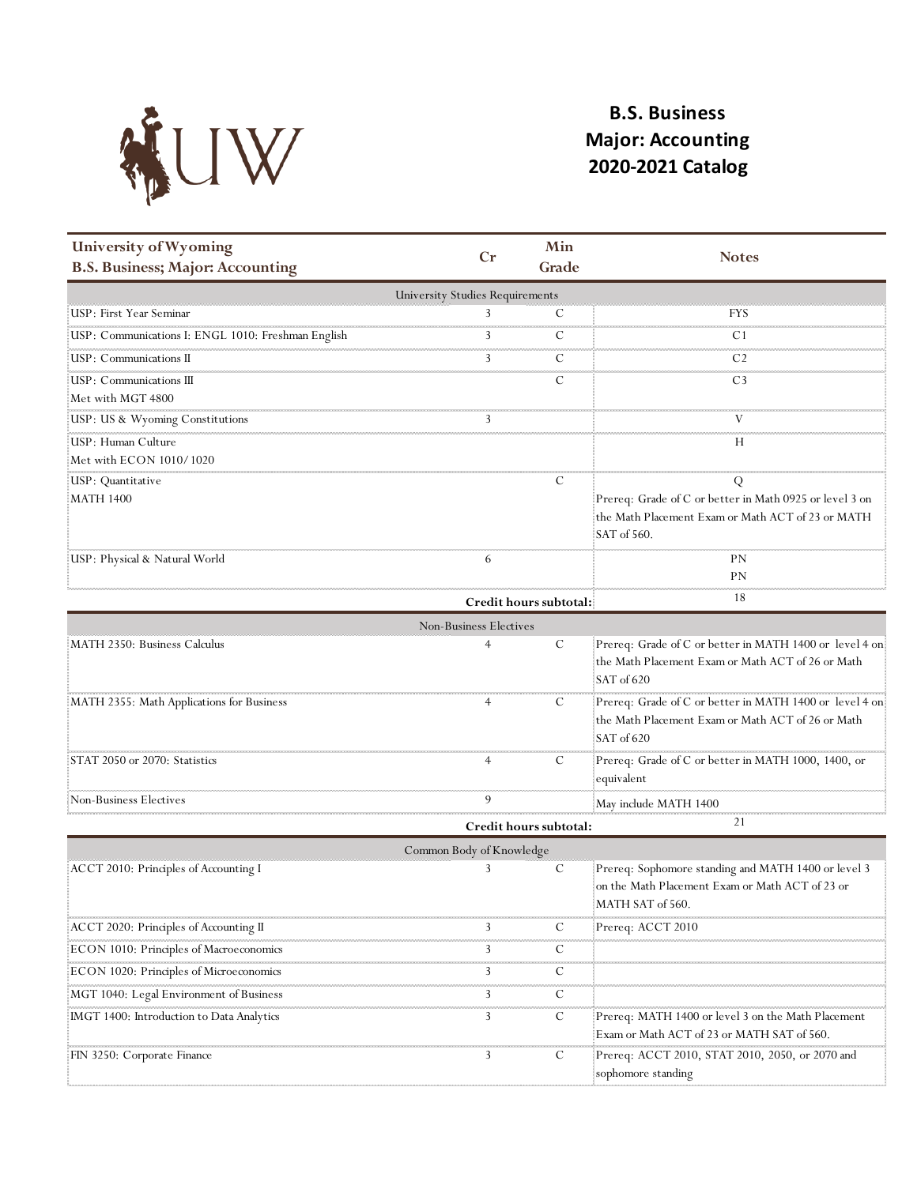

## **B.S. Business Major: Accounting 2020-2021 Catalog**

| $C_{r}$<br><b>Notes</b><br><b>B.S. Business; Major: Accounting</b><br>Grade<br><b>University Studies Requirements</b><br>USP: First Year Seminar<br>3<br>C<br>FYS<br>USP: Communications I: ENGL 1010: Freshman English<br>C<br>3<br>C1<br>USP: Communications II<br>3<br>C<br>C <sub>2</sub><br>USP: Communications III<br>C<br>C <sub>3</sub><br>Met with MGT 4800<br>USP: US & Wyoming Constitutions<br>USP: Human Culture<br>Н<br>Met with ECON 1010/1020<br>C<br>USP: Quantitative<br>Q<br>Prereq: Grade of C or better in Math 0925 or level 3 on<br><b>MATH 1400</b><br>the Math Placement Exam or Math ACT of 23 or MATH<br>SAT of 560.<br>USP: Physical & Natural World<br>РN<br>6<br>PN<br>18<br>Credit hours subtotal:<br>Non-Business Electives<br>MATH 2350: Business Calculus<br>C<br>the Math Placement Exam or Math ACT of 26 or Math<br>SAT of 620<br>manamanan manamanan mana<br>MATH 2355: Math Applications for Business<br>C<br>the Math Placement Exam or Math ACT of 26 or Math<br>SAT of 620<br>STAT 2050 or 2070: Statistics<br>Prereq: Grade of C or better in MATH 1000, 1400, or<br>C<br>equivalent<br>9<br>Non-Business Electives!<br>May include MATH 1400 | University of Wyoming | Min |                                                         |
|------------------------------------------------------------------------------------------------------------------------------------------------------------------------------------------------------------------------------------------------------------------------------------------------------------------------------------------------------------------------------------------------------------------------------------------------------------------------------------------------------------------------------------------------------------------------------------------------------------------------------------------------------------------------------------------------------------------------------------------------------------------------------------------------------------------------------------------------------------------------------------------------------------------------------------------------------------------------------------------------------------------------------------------------------------------------------------------------------------------------------------------------------------------------------------------|-----------------------|-----|---------------------------------------------------------|
|                                                                                                                                                                                                                                                                                                                                                                                                                                                                                                                                                                                                                                                                                                                                                                                                                                                                                                                                                                                                                                                                                                                                                                                          |                       |     |                                                         |
|                                                                                                                                                                                                                                                                                                                                                                                                                                                                                                                                                                                                                                                                                                                                                                                                                                                                                                                                                                                                                                                                                                                                                                                          |                       |     |                                                         |
|                                                                                                                                                                                                                                                                                                                                                                                                                                                                                                                                                                                                                                                                                                                                                                                                                                                                                                                                                                                                                                                                                                                                                                                          |                       |     |                                                         |
|                                                                                                                                                                                                                                                                                                                                                                                                                                                                                                                                                                                                                                                                                                                                                                                                                                                                                                                                                                                                                                                                                                                                                                                          |                       |     |                                                         |
|                                                                                                                                                                                                                                                                                                                                                                                                                                                                                                                                                                                                                                                                                                                                                                                                                                                                                                                                                                                                                                                                                                                                                                                          |                       |     |                                                         |
|                                                                                                                                                                                                                                                                                                                                                                                                                                                                                                                                                                                                                                                                                                                                                                                                                                                                                                                                                                                                                                                                                                                                                                                          |                       |     |                                                         |
|                                                                                                                                                                                                                                                                                                                                                                                                                                                                                                                                                                                                                                                                                                                                                                                                                                                                                                                                                                                                                                                                                                                                                                                          |                       |     |                                                         |
|                                                                                                                                                                                                                                                                                                                                                                                                                                                                                                                                                                                                                                                                                                                                                                                                                                                                                                                                                                                                                                                                                                                                                                                          |                       |     |                                                         |
|                                                                                                                                                                                                                                                                                                                                                                                                                                                                                                                                                                                                                                                                                                                                                                                                                                                                                                                                                                                                                                                                                                                                                                                          |                       |     |                                                         |
|                                                                                                                                                                                                                                                                                                                                                                                                                                                                                                                                                                                                                                                                                                                                                                                                                                                                                                                                                                                                                                                                                                                                                                                          |                       |     |                                                         |
|                                                                                                                                                                                                                                                                                                                                                                                                                                                                                                                                                                                                                                                                                                                                                                                                                                                                                                                                                                                                                                                                                                                                                                                          |                       |     |                                                         |
|                                                                                                                                                                                                                                                                                                                                                                                                                                                                                                                                                                                                                                                                                                                                                                                                                                                                                                                                                                                                                                                                                                                                                                                          |                       |     |                                                         |
|                                                                                                                                                                                                                                                                                                                                                                                                                                                                                                                                                                                                                                                                                                                                                                                                                                                                                                                                                                                                                                                                                                                                                                                          |                       |     |                                                         |
|                                                                                                                                                                                                                                                                                                                                                                                                                                                                                                                                                                                                                                                                                                                                                                                                                                                                                                                                                                                                                                                                                                                                                                                          |                       |     |                                                         |
|                                                                                                                                                                                                                                                                                                                                                                                                                                                                                                                                                                                                                                                                                                                                                                                                                                                                                                                                                                                                                                                                                                                                                                                          |                       |     |                                                         |
|                                                                                                                                                                                                                                                                                                                                                                                                                                                                                                                                                                                                                                                                                                                                                                                                                                                                                                                                                                                                                                                                                                                                                                                          |                       |     |                                                         |
|                                                                                                                                                                                                                                                                                                                                                                                                                                                                                                                                                                                                                                                                                                                                                                                                                                                                                                                                                                                                                                                                                                                                                                                          |                       |     |                                                         |
|                                                                                                                                                                                                                                                                                                                                                                                                                                                                                                                                                                                                                                                                                                                                                                                                                                                                                                                                                                                                                                                                                                                                                                                          |                       |     | Prereq: Grade of C or better in MATH 1400 or level 4 on |
|                                                                                                                                                                                                                                                                                                                                                                                                                                                                                                                                                                                                                                                                                                                                                                                                                                                                                                                                                                                                                                                                                                                                                                                          |                       |     |                                                         |
|                                                                                                                                                                                                                                                                                                                                                                                                                                                                                                                                                                                                                                                                                                                                                                                                                                                                                                                                                                                                                                                                                                                                                                                          |                       |     |                                                         |
|                                                                                                                                                                                                                                                                                                                                                                                                                                                                                                                                                                                                                                                                                                                                                                                                                                                                                                                                                                                                                                                                                                                                                                                          |                       |     | Prereq: Grade of C or better in MATH 1400 or level 4 on |
|                                                                                                                                                                                                                                                                                                                                                                                                                                                                                                                                                                                                                                                                                                                                                                                                                                                                                                                                                                                                                                                                                                                                                                                          |                       |     |                                                         |
|                                                                                                                                                                                                                                                                                                                                                                                                                                                                                                                                                                                                                                                                                                                                                                                                                                                                                                                                                                                                                                                                                                                                                                                          |                       |     |                                                         |
|                                                                                                                                                                                                                                                                                                                                                                                                                                                                                                                                                                                                                                                                                                                                                                                                                                                                                                                                                                                                                                                                                                                                                                                          |                       |     |                                                         |
|                                                                                                                                                                                                                                                                                                                                                                                                                                                                                                                                                                                                                                                                                                                                                                                                                                                                                                                                                                                                                                                                                                                                                                                          |                       |     |                                                         |
|                                                                                                                                                                                                                                                                                                                                                                                                                                                                                                                                                                                                                                                                                                                                                                                                                                                                                                                                                                                                                                                                                                                                                                                          |                       |     |                                                         |
| 21<br>Credit hours subtotal:                                                                                                                                                                                                                                                                                                                                                                                                                                                                                                                                                                                                                                                                                                                                                                                                                                                                                                                                                                                                                                                                                                                                                             |                       |     |                                                         |
| Common Body of Knowledge                                                                                                                                                                                                                                                                                                                                                                                                                                                                                                                                                                                                                                                                                                                                                                                                                                                                                                                                                                                                                                                                                                                                                                 |                       |     |                                                         |
| Prereq: Sophomore standing and MATH 1400 or level 3<br>ACCT 2010: Principles of Accounting I<br>3<br>C                                                                                                                                                                                                                                                                                                                                                                                                                                                                                                                                                                                                                                                                                                                                                                                                                                                                                                                                                                                                                                                                                   |                       |     |                                                         |
| on the Math Placement Exam or Math ACT of 23 or<br>MATH SAT of 560.                                                                                                                                                                                                                                                                                                                                                                                                                                                                                                                                                                                                                                                                                                                                                                                                                                                                                                                                                                                                                                                                                                                      |                       |     |                                                         |
| ACCT 2020: Principles of Accounting II<br>3<br>Prereq: ACCT 2010<br>C                                                                                                                                                                                                                                                                                                                                                                                                                                                                                                                                                                                                                                                                                                                                                                                                                                                                                                                                                                                                                                                                                                                    |                       |     |                                                         |
| <b>COLOR</b><br>3<br>С                                                                                                                                                                                                                                                                                                                                                                                                                                                                                                                                                                                                                                                                                                                                                                                                                                                                                                                                                                                                                                                                                                                                                                   |                       |     |                                                         |
| ECON 1010: Principles of Macroeconomics<br>,,,,,,,,,,,,,,,,,,,,,,,,,,,,,,,,                                                                                                                                                                                                                                                                                                                                                                                                                                                                                                                                                                                                                                                                                                                                                                                                                                                                                                                                                                                                                                                                                                              |                       |     |                                                         |
| ECON 1020: Principles of Microeconomics<br>3<br>С<br><b>COLOR</b>                                                                                                                                                                                                                                                                                                                                                                                                                                                                                                                                                                                                                                                                                                                                                                                                                                                                                                                                                                                                                                                                                                                        |                       |     |                                                         |
| 3<br>C<br>MGT 1040: Legal Environment of Business                                                                                                                                                                                                                                                                                                                                                                                                                                                                                                                                                                                                                                                                                                                                                                                                                                                                                                                                                                                                                                                                                                                                        |                       |     |                                                         |
| MGT 1400: Introduction to Data Analytics<br>3<br>C<br>Prereq: MATH 1400 or level 3 on the Math Placement                                                                                                                                                                                                                                                                                                                                                                                                                                                                                                                                                                                                                                                                                                                                                                                                                                                                                                                                                                                                                                                                                 |                       |     |                                                         |
| Exam or Math ACT of 23 or MATH SAT of 560.                                                                                                                                                                                                                                                                                                                                                                                                                                                                                                                                                                                                                                                                                                                                                                                                                                                                                                                                                                                                                                                                                                                                               |                       |     |                                                         |
| C<br>Prereq: ACCT 2010, STAT 2010, 2050, or 2070 and<br>FIN 3250: Corporate Finance<br>3<br>sophomore standing                                                                                                                                                                                                                                                                                                                                                                                                                                                                                                                                                                                                                                                                                                                                                                                                                                                                                                                                                                                                                                                                           |                       |     |                                                         |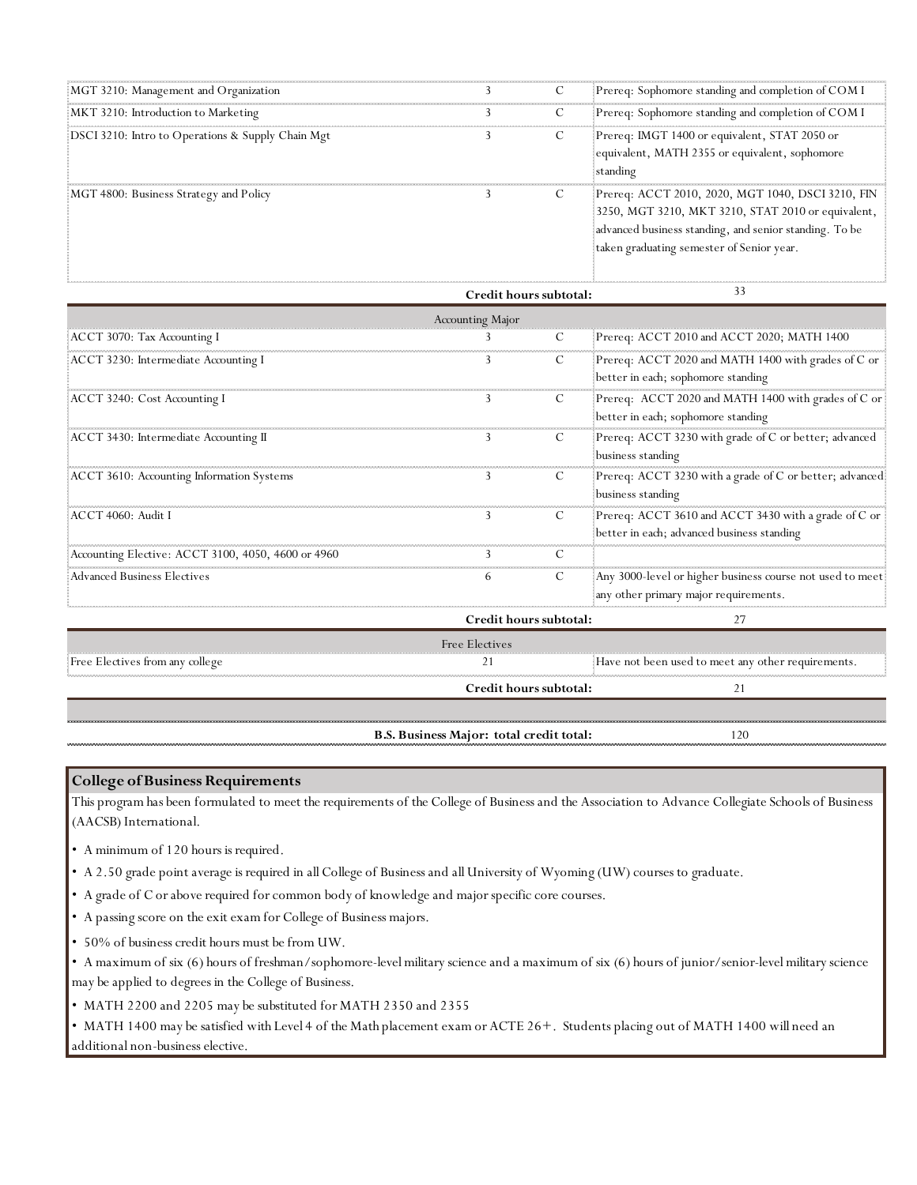| MGT 3210: Management and Organization             |  | Prereq: Sophomore standing and completion of COM I                                                                                                                                                             |
|---------------------------------------------------|--|----------------------------------------------------------------------------------------------------------------------------------------------------------------------------------------------------------------|
| MKT 3210: Introduction to Marketing               |  | Prereq: Sophomore standing and completion of COM I                                                                                                                                                             |
| DSCI 3210: Intro to Operations & Supply Chain Mgt |  | Prereq: IMGT 1400 or equivalent, STAT 2050 or<br>equivalent, MATH 2355 or equivalent, sophomore<br><b>standing</b>                                                                                             |
| MGT 4800: Business Strategy and Policy            |  | Prereq: ACCT 2010, 2020, MGT 1040, DSCI 3210, FIN<br>3250, MGT 3210, MKT 3210, STAT 2010 or equivalent,<br>advanced business standing, and senior standing. To be<br>taken graduating semester of Senior year. |

|                                                    | Credit hours subtotal: | 33                                                                                                 |
|----------------------------------------------------|------------------------|----------------------------------------------------------------------------------------------------|
|                                                    | Accounting Major       |                                                                                                    |
| ACCT 3070: Tax Accounting I                        | С                      | Prereq: ACCT 2010 and ACCT 2020; MATH 1400                                                         |
| ACCT 3230: Intermediate Accounting I               |                        | Prereq: ACCT 2020 and MATH 1400 with grades of C or<br>better in each; sophomore standing          |
| ACCT 3240: Cost Accounting I                       |                        | Prereq: ACCT 2020 and MATH 1400 with grades of C or<br>better in each; sophomore standing          |
| ACCT 3430: Intermediate Accounting II              | C                      | Prereq: ACCT 3230 with grade of C or better; advanced<br>business standing                         |
| ACCT 3610: Accounting Information Systems          | С                      | Prereq: ACCT 3230 with a grade of C or better; advanced<br>business standing                       |
| ACCT 4060: Audit I                                 | С<br>3                 | Prereq: ACCT 3610 and ACCT 3430 with a grade of C or<br>better in each; advanced business standing |
| Accounting Elective: ACCT 3100, 4050, 4600 or 4960 |                        |                                                                                                    |
| <b>Advanced Business Electives</b>                 | C                      | Any 3000-level or higher business course not used to meet<br>any other primary major requirements. |
|                                                    | Credit hours subtotal: | 27                                                                                                 |
|                                                    | Free Electives         |                                                                                                    |
| Free Electives from any college                    |                        | Have not been used to meet any other requirements.                                                 |
|                                                    | Credit hours subtotal: | 21                                                                                                 |
|                                                    |                        |                                                                                                    |

**B.S. Business Major: total credit total:**

120

## **College of Business Requirements**

This program has been formulated to meet the requirements of the College of Business and the Association to Advance Collegiate Schools of Business (AACSB) International.

- A minimum of 120 hours is required.
- A 2.50 grade point average is required in all College of Business and all University of Wyoming (UW) courses to graduate.
- A grade of C or above required for common body of knowledge and major specific core courses.
- A passing score on the exit exam for College of Business majors.
- 50% of business credit hours must be from UW.

• A maximum of six (6) hours of freshman/sophomore-level military science and a maximum of six (6) hours of junior/senior-level military science may be applied to degrees in the College of Business.

• MATH 2200 and 2205 may be substituted for MATH 2350 and 2355

• MATH 1400 may be satisfied with Level 4 of the Math placement exam or ACTE 26+. Students placing out of MATH 1400 will need an additional non-business elective.